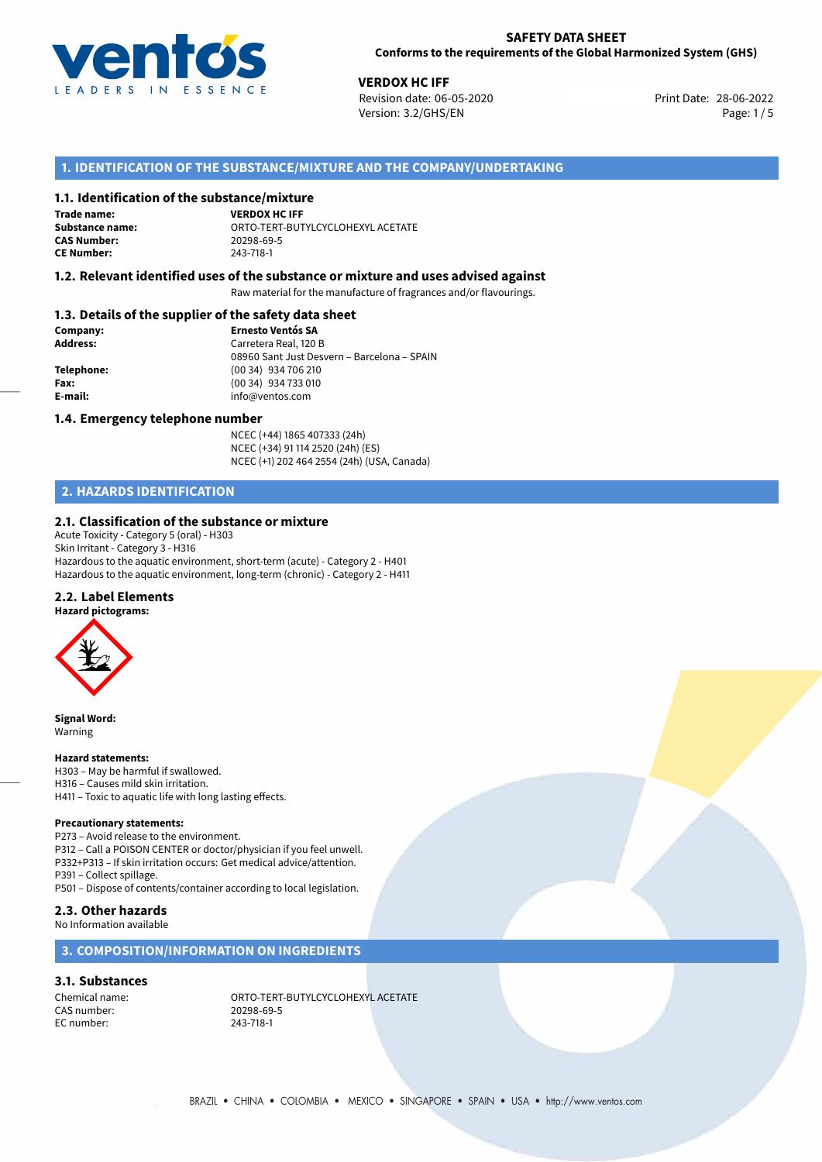

**VERDOX HC IFF**<br>28-06-2022 **Revision date: 06-05-2020** Print Date: 28-06-2022 Version: 3.2/GHS/EN Page: 1/5

## **1. IDENTIFICATION OF THE SUBSTANCE/MIXTURE AND THE COMPANY/UNDERTAKING**

#### **1.1. Identification of the substance/mixture**

**Trade name: CAS Number: CE Number:** 243-718-1

**VERDOX HC IFF Substance name:** ORTO-TERT-BUTYLCYCLOHEXYL ACETATE

#### **1.2. Relevant identified uses of the substance or mixture and uses advised against**

Raw material for the manufacture of fragrances and/or flavourings.

# **1.3. Details of the supplier of the safety data sheet**

| Company:   | <b>Ernesto Ventós SA</b>                    |
|------------|---------------------------------------------|
| Address:   | Carretera Real, 120 B                       |
|            | 08960 Sant Just Desvern - Barcelona - SPAIN |
| Telephone: | (00 34) 934 706 210                         |
| Fax:       | (00 34) 934 733 010                         |
| E-mail:    | info@ventos.com                             |
|            |                                             |

#### **1.4. Emergency telephone number**

NCEC (+44) 1865 407333 (24h) NCEC (+34) 91 114 2520 (24h) (ES) NCEC (+1) 202 464 2554 (24h) (USA, Canada)

# **2. HAZARDS IDENTIFICATION**

#### **2.1. Classification of the substance or mixture**

Acute Toxicity - Category 5 (oral) - H303 Skin Irritant - Category 3 - H316 Hazardous to the aquatic environment, short-term (acute) - Category 2 - H401 Hazardous to the aquatic environment, long-term (chronic) - Category 2 - H411

#### **2.2. Label Elements**

#### **Hazard pictograms:**



**Signal Word:** Warning

#### **Hazard statements:**

H303 – May be harmful if swallowed. H316 – Causes mild skin irritation.

H411 – Toxic to aquatic life with long lasting effects.

#### **Precautionary statements:**

P273 – Avoid release to the environment. P312 – Call a POISON CENTER or doctor/physician if you feel unwell. P332+P313 – If skin irritation occurs: Get medical advice/attention.

P391 – Collect spillage. P501 – Dispose of contents/container according to local legislation.

#### **2.3. Other hazards**

No Information available

## **3. COMPOSITION/INFORMATION ON INGREDIENTS**

#### **3.1. Substances**

CAS number: 20298-69<br>EC number: 243-718-1 EC number:

Chemical name: CHEMIC ORTO-TERT-BUTYLCYCLOHEXYL ACETATE<br>
CAS number: 20298-69-5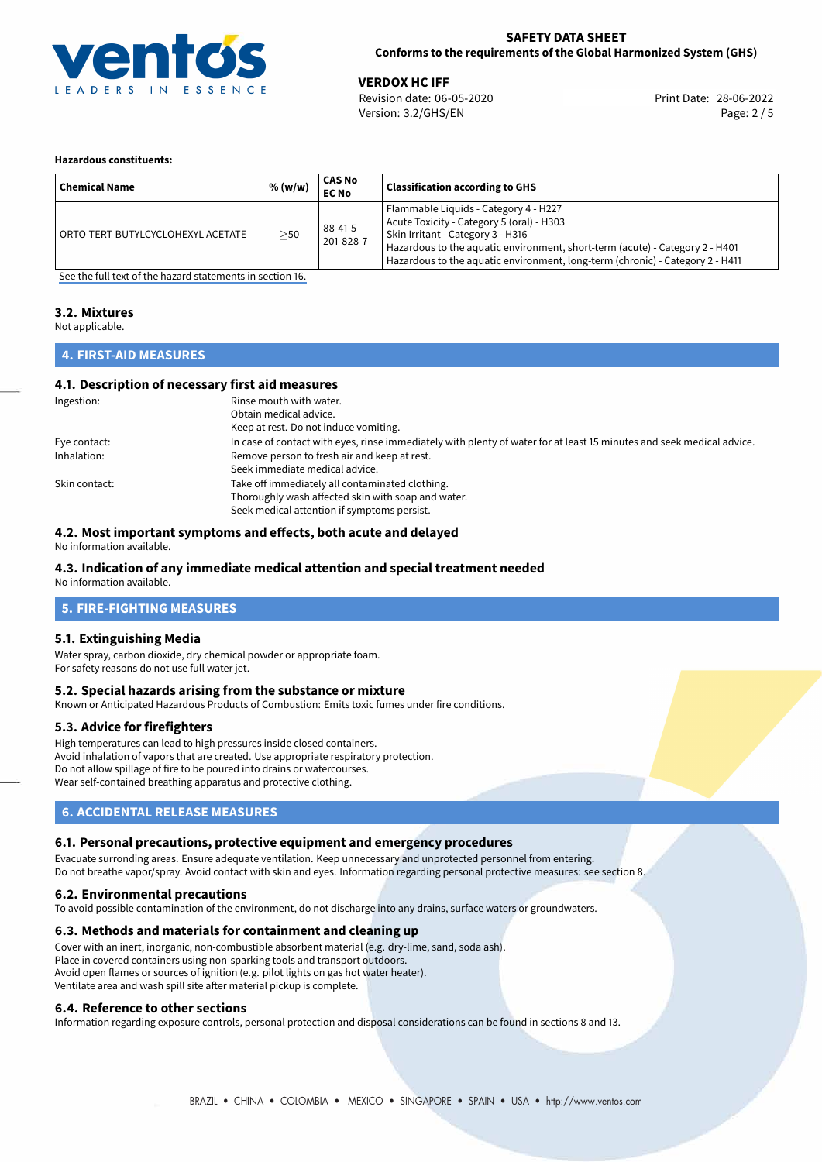

**VERDOX HC IFF**<br>
Revision date: 06-05-2020 **Print Date: 28-06-2022** Version: 3.2/GHS/EN Page: 2 / 5

#### **Hazardous constituents:**

| <b>Chemical Name</b>              | % (w/w) | CAS No<br><b>EC No</b> | <b>Classification according to GHS</b>                                                                                                                                                                                                                                                   |
|-----------------------------------|---------|------------------------|------------------------------------------------------------------------------------------------------------------------------------------------------------------------------------------------------------------------------------------------------------------------------------------|
| ORTO-TERT-BUTYLCYCLOHEXYL ACETATE | $>$ 50  | 88-41-5<br>201-828-7   | Flammable Liquids - Category 4 - H227<br>Acute Toxicity - Category 5 (oral) - H303<br>Skin Irritant - Category 3 - H316<br>Hazardous to the aquatic environment, short-term (acute) - Category 2 - H401<br>Hazardous to the aquatic environment, long-term (chronic) - Category 2 - H411 |

[See the full text of the hazard statements in section 16.](#page-4-0)

#### **3.2. Mixtures**

Not applicable.

## **4. FIRST-AID MEASURES**

## **4.1. Description of necessary first aid measures**

| Ingestion:    | Rinse mouth with water.                                                                                               |
|---------------|-----------------------------------------------------------------------------------------------------------------------|
|               | Obtain medical advice.                                                                                                |
|               | Keep at rest. Do not induce vomiting.                                                                                 |
| Eye contact:  | In case of contact with eyes, rinse immediately with plenty of water for at least 15 minutes and seek medical advice. |
| Inhalation:   | Remove person to fresh air and keep at rest.                                                                          |
|               | Seek immediate medical advice.                                                                                        |
| Skin contact: | Take off immediately all contaminated clothing.                                                                       |
|               | Thoroughly wash affected skin with soap and water.                                                                    |
|               | Seek medical attention if symptoms persist.                                                                           |

## **4.2. Most important symptoms and effects, both acute and delayed**

No information available.

## **4.3. Indication of any immediate medical attention and special treatment needed**

No information available.

# **5. FIRE-FIGHTING MEASURES**

## **5.1. Extinguishing Media**

Water spray, carbon dioxide, dry chemical powder or appropriate foam. For safety reasons do not use full water jet.

## **5.2. Special hazards arising from the substance or mixture**

Known or Anticipated Hazardous Products of Combustion: Emits toxic fumes under fire conditions.

## **5.3. Advice for firefighters**

High temperatures can lead to high pressures inside closed containers. Avoid inhalation of vapors that are created. Use appropriate respiratory protection. Do not allow spillage of fire to be poured into drains or watercourses. Wear self-contained breathing apparatus and protective clothing.

## **6. ACCIDENTAL RELEASE MEASURES**

## **6.1. Personal precautions, protective equipment and emergency procedures**

Evacuate surronding areas. Ensure adequate ventilation. Keep unnecessary and unprotected personnel from entering. Do not breathe vapor/spray. Avoid contact with skin and eyes. Information regarding personal protective measures: see section 8.

## **6.2. Environmental precautions**

To avoid possible contamination of the environment, do not discharge into any drains, surface waters or groundwaters.

## **6.3. Methods and materials for containment and cleaning up**

Cover with an inert, inorganic, non-combustible absorbent material (e.g. dry-lime, sand, soda ash). Place in covered containers using non-sparking tools and transport outdoors. Avoid open flames or sources of ignition (e.g. pilot lights on gas hot water heater). Ventilate area and wash spill site after material pickup is complete.

## **6.4. Reference to other sections**

Information regarding exposure controls, personal protection and disposal considerations can be found in sections 8 and 13.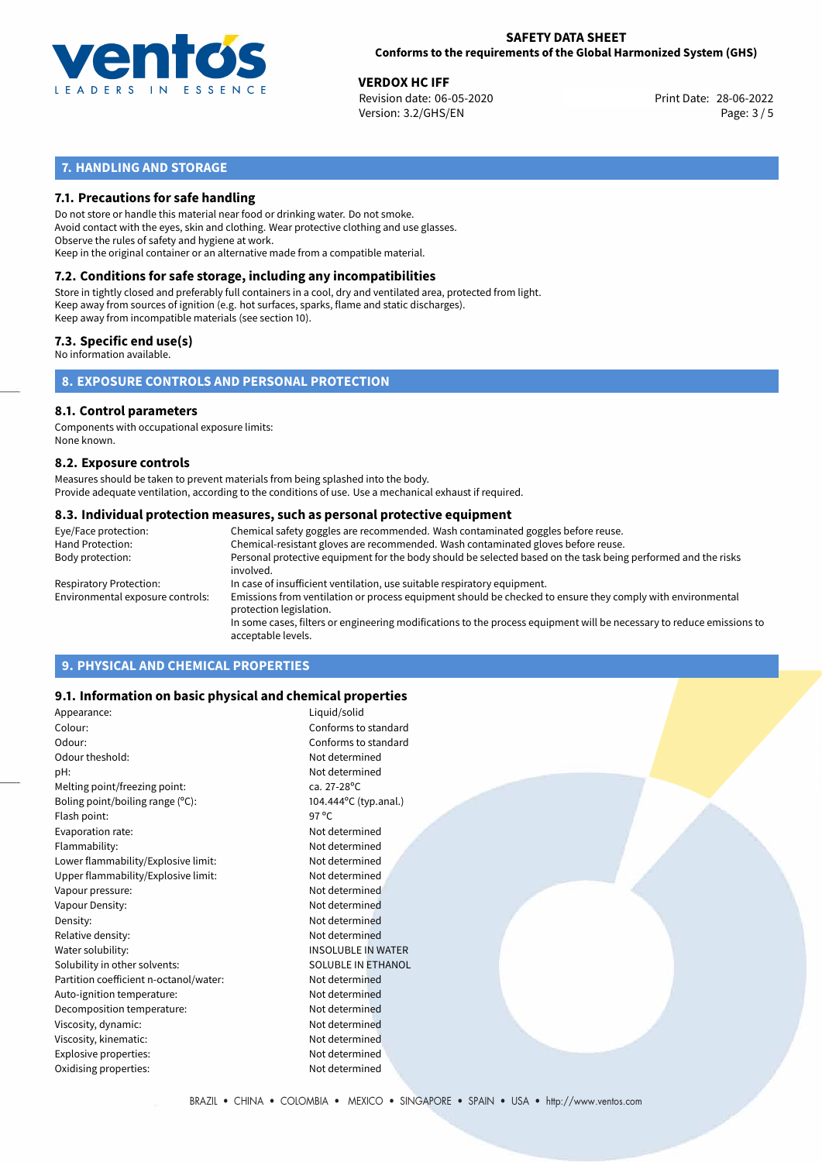

**VERDOX HC IFF**<br>
Revision date: 06-05-2020 **Print Date: 28-06-2022** Version: 3.2/GHS/EN Page: 3 / 5

# **7. HANDLING AND STORAGE**

## **7.1. Precautions for safe handling**

Do not store or handle this material near food or drinking water. Do not smoke. Avoid contact with the eyes, skin and clothing. Wear protective clothing and use glasses. Observe the rules of safety and hygiene at work. Keep in the original container or an alternative made from a compatible material.

# **7.2. Conditions for safe storage, including any incompatibilities**

Store in tightly closed and preferably full containers in a cool, dry and ventilated area, protected from light. Keep away from sources of ignition (e.g. hot surfaces, sparks, flame and static discharges). Keep away from incompatible materials (see section 10).

## **7.3. Specific end use(s)**

No information available.

## **8. EXPOSURE CONTROLS AND PERSONAL PROTECTION**

# **8.1. Control parameters**

Components with occupational exposure limits: None known.

#### **8.2. Exposure controls**

Measures should be taken to prevent materials from being splashed into the body. Provide adequate ventilation, according to the conditions of use. Use a mechanical exhaust if required.

#### **8.3. Individual protection measures, such as personal protective equipment**

| Eye/Face protection:             | Chemical safety goggles are recommended. Wash contaminated goggles before reuse.                                                            |
|----------------------------------|---------------------------------------------------------------------------------------------------------------------------------------------|
| Hand Protection:                 | Chemical-resistant gloves are recommended. Wash contaminated gloves before reuse.                                                           |
| Body protection:                 | Personal protective equipment for the body should be selected based on the task being performed and the risks<br>involved.                  |
| Respiratory Protection:          | In case of insufficient ventilation, use suitable respiratory equipment.                                                                    |
| Environmental exposure controls: | Emissions from ventilation or process equipment should be checked to ensure they comply with environmental<br>protection legislation.       |
|                                  | In some cases, filters or engineering modifications to the process equipment will be necessary to reduce emissions to<br>acceptable levels. |
|                                  |                                                                                                                                             |

# **9. PHYSICAL AND CHEMICAL PROPERTIES**

## **9.1. Information on basic physical and chemical properties**

| Appearance:                            | Liquid/solid              |  |
|----------------------------------------|---------------------------|--|
| Colour:                                | Conforms to standard      |  |
| Odour:                                 | Conforms to standard      |  |
| Odour theshold:                        | Not determined            |  |
| pH:                                    | Not determined            |  |
| Melting point/freezing point:          | ca. 27-28°C               |  |
| Boling point/boiling range $(°C)$ :    | 104.444°C (typ.anal.)     |  |
| Flash point:                           | 97 $\degree$ C            |  |
| Evaporation rate:                      | Not determined            |  |
| Flammability:                          | Not determined            |  |
| Lower flammability/Explosive limit:    | Not determined            |  |
| Upper flammability/Explosive limit:    | Not determined            |  |
| Vapour pressure:                       | Not determined            |  |
| Vapour Density:                        | Not determined            |  |
| Density:                               | Not determined            |  |
| Relative density:                      | Not determined            |  |
| Water solubility:                      | <b>INSOLUBLE IN WATER</b> |  |
| Solubility in other solvents:          | SOLUBLE IN ETHANOL        |  |
| Partition coefficient n-octanol/water: | Not determined            |  |
| Auto-ignition temperature:             | Not determined            |  |
| Decomposition temperature:             | Not determined            |  |
| Viscosity, dynamic:                    | Not determined            |  |
| Viscosity, kinematic:                  | Not determined            |  |
| Explosive properties:                  | Not determined            |  |
| Oxidising properties:                  | Not determined            |  |
|                                        |                           |  |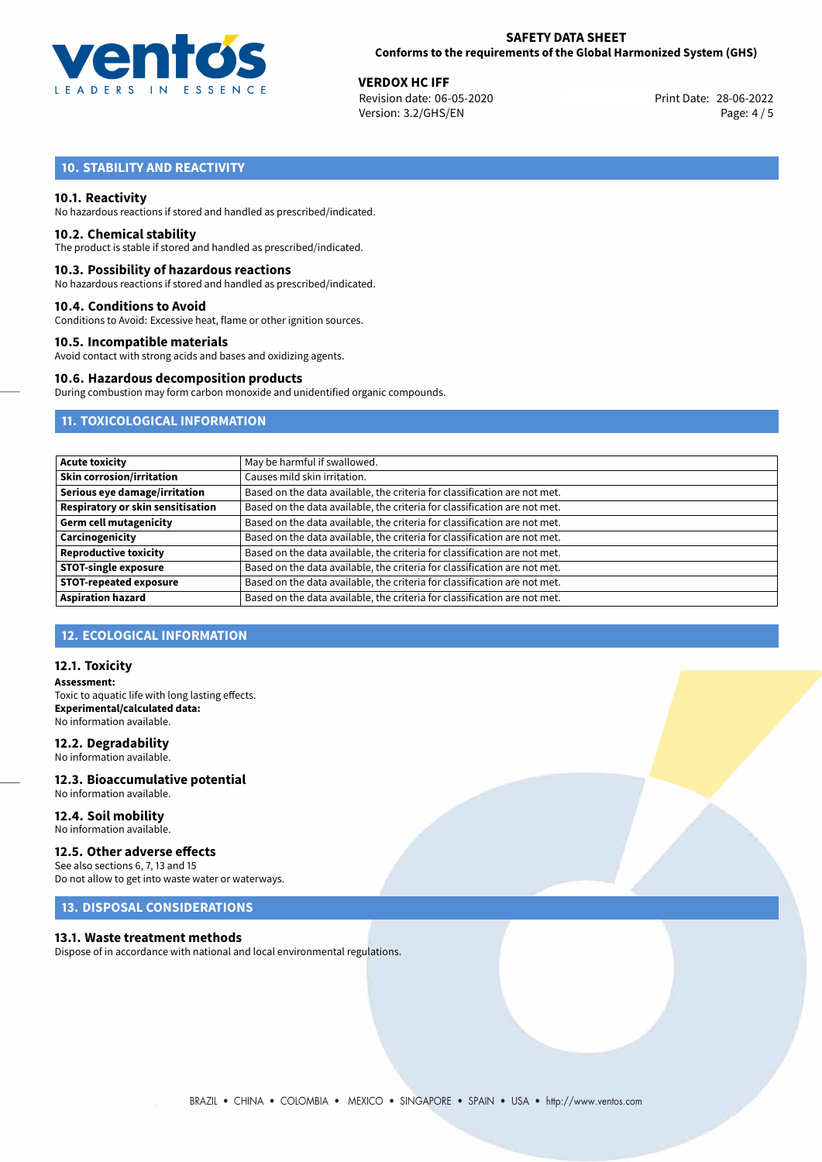

**VERDOX HC IFF**<br>
Revision date: 06-05-2020 **Print Date: 28-06-2022** Version: 3.2/GHS/EN Page: 4 / 5

# **10. STABILITY AND REACTIVITY**

### **10.1. Reactivity**

No hazardous reactions if stored and handled as prescribed/indicated.

#### **10.2. Chemical stability**

The product is stable if stored and handled as prescribed/indicated.

#### **10.3. Possibility of hazardous reactions**

No hazardous reactions if stored and handled as prescribed/indicated.

#### **10.4. Conditions to Avoid**

Conditions to Avoid: Excessive heat, flame or other ignition sources.

#### **10.5. Incompatible materials**

Avoid contact with strong acids and bases and oxidizing agents.

#### **10.6. Hazardous decomposition products**

During combustion may form carbon monoxide and unidentified organic compounds.

## **11. TOXICOLOGICAL INFORMATION**

| <b>Acute toxicity</b>                    | May be harmful if swallowed.                                              |
|------------------------------------------|---------------------------------------------------------------------------|
| <b>Skin corrosion/irritation</b>         | Causes mild skin irritation.                                              |
| Serious eye damage/irritation            | Based on the data available, the criteria for classification are not met. |
| <b>Respiratory or skin sensitisation</b> | Based on the data available, the criteria for classification are not met. |
| <b>Germ cell mutagenicity</b>            | Based on the data available, the criteria for classification are not met. |
| Carcinogenicity                          | Based on the data available, the criteria for classification are not met. |
| <b>Reproductive toxicity</b>             | Based on the data available, the criteria for classification are not met. |
| <b>STOT-single exposure</b>              | Based on the data available, the criteria for classification are not met. |
| <b>STOT-repeated exposure</b>            | Based on the data available, the criteria for classification are not met. |
| <b>Aspiration hazard</b>                 | Based on the data available, the criteria for classification are not met. |

## **12. ECOLOGICAL INFORMATION**

#### **12.1. Toxicity**

**Assessment:** Toxic to aquatic life with long lasting effects. **Experimental/calculated data:** No information available.

## **12.2. Degradability**

No information available.

#### **12.3. Bioaccumulative potential** No information available.

**12.4. Soil mobility** No information available.

### **12.5. Other adverse effects**

See also sections 6, 7, 13 and 15 Do not allow to get into waste water or waterways.

# **13. DISPOSAL CONSIDERATIONS**

#### **13.1. Waste treatment methods**

Dispose of in accordance with national and local environmental regulations.